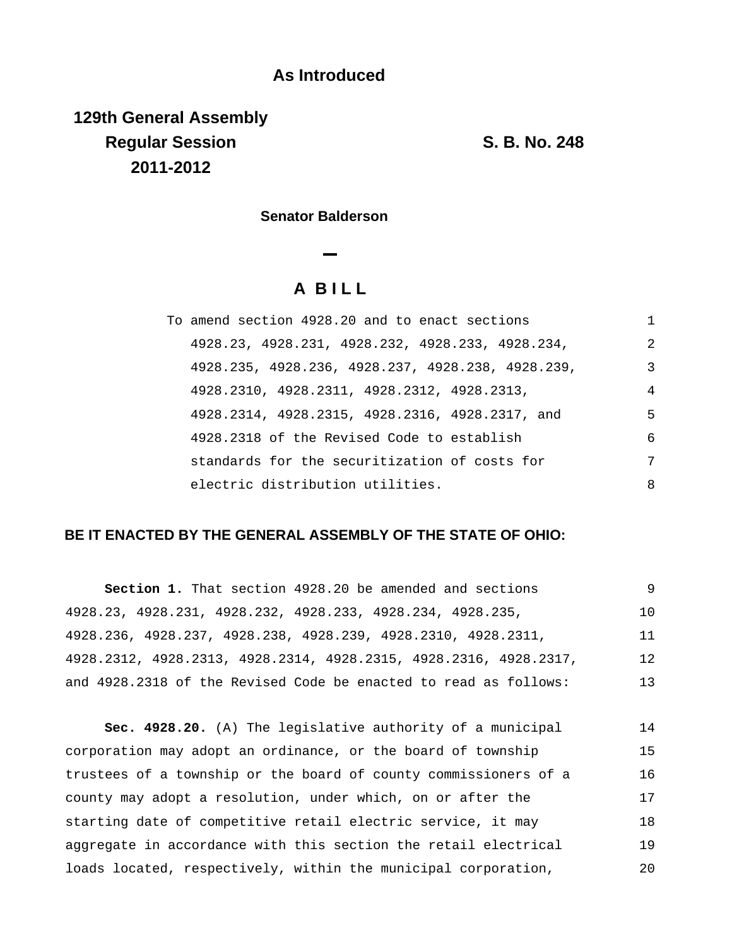## **As Introduced**

**129th General Assembly Regular Session S. B. No. 248 2011-2012**

**Senator Balderson**

# **A B I L L**

| To amend section 4928.20 and to enact sections    |                |
|---------------------------------------------------|----------------|
| 4928.23, 4928.231, 4928.232, 4928.233, 4928.234,  | $\mathfrak{D}$ |
| 4928.235, 4928.236, 4928.237, 4928.238, 4928.239, | 3              |
| 4928.2310, 4928.2311, 4928.2312, 4928.2313,       | $\overline{4}$ |
| 4928.2314, 4928.2315, 4928.2316, 4928.2317, and   | 5              |
| 4928.2318 of the Revised Code to establish        | 6              |
| standards for the securitization of costs for     | 7              |
| electric distribution utilities.                  | 8              |

### **BE IT ENACTED BY THE GENERAL ASSEMBLY OF THE STATE OF OHIO:**

| Section 1. That section 4928.20 be amended and sections           | 9  |
|-------------------------------------------------------------------|----|
| 4928.23, 4928.231, 4928.232, 4928.233, 4928.234, 4928.235,        | 10 |
| 4928.236, 4928.237, 4928.238, 4928.239, 4928.2310, 4928.2311,     | 11 |
| 4928.2312, 4928.2313, 4928.2314, 4928.2315, 4928.2316, 4928.2317, | 12 |
| and 4928.2318 of the Revised Code be enacted to read as follows:  | 13 |

**Sec. 4928.20.** (A) The legislative authority of a municipal corporation may adopt an ordinance, or the board of township trustees of a township or the board of county commissioners of a county may adopt a resolution, under which, on or after the starting date of competitive retail electric service, it may aggregate in accordance with this section the retail electrical loads located, respectively, within the municipal corporation, 14 15 16 17 18 19 20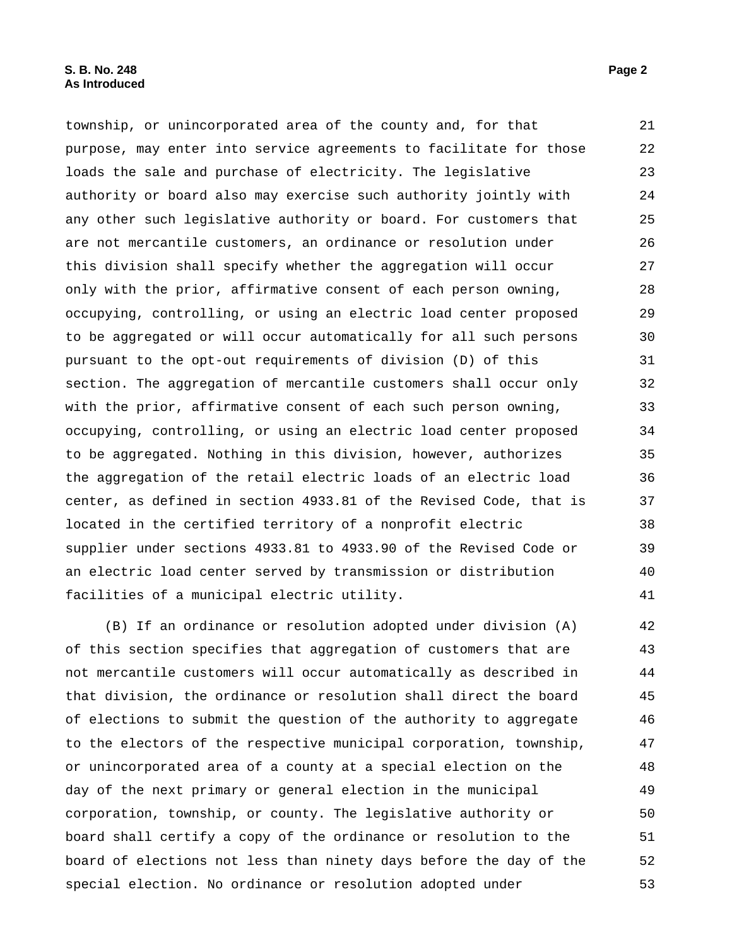township, or unincorporated area of the county and, for that purpose, may enter into service agreements to facilitate for those loads the sale and purchase of electricity. The legislative authority or board also may exercise such authority jointly with any other such legislative authority or board. For customers that are not mercantile customers, an ordinance or resolution under this division shall specify whether the aggregation will occur only with the prior, affirmative consent of each person owning, occupying, controlling, or using an electric load center proposed to be aggregated or will occur automatically for all such persons pursuant to the opt-out requirements of division (D) of this section. The aggregation of mercantile customers shall occur only with the prior, affirmative consent of each such person owning, occupying, controlling, or using an electric load center proposed to be aggregated. Nothing in this division, however, authorizes the aggregation of the retail electric loads of an electric load center, as defined in section 4933.81 of the Revised Code, that is located in the certified territory of a nonprofit electric supplier under sections 4933.81 to 4933.90 of the Revised Code or an electric load center served by transmission or distribution facilities of a municipal electric utility. 21 22 23 24 25 26 27 28 29 30 31 32 33 34 35 36 37 38 39 40 41

(B) If an ordinance or resolution adopted under division (A) of this section specifies that aggregation of customers that are not mercantile customers will occur automatically as described in that division, the ordinance or resolution shall direct the board of elections to submit the question of the authority to aggregate to the electors of the respective municipal corporation, township, or unincorporated area of a county at a special election on the day of the next primary or general election in the municipal corporation, township, or county. The legislative authority or board shall certify a copy of the ordinance or resolution to the board of elections not less than ninety days before the day of the special election. No ordinance or resolution adopted under 42 43 44 45 46 47 48 49 50 51 52 53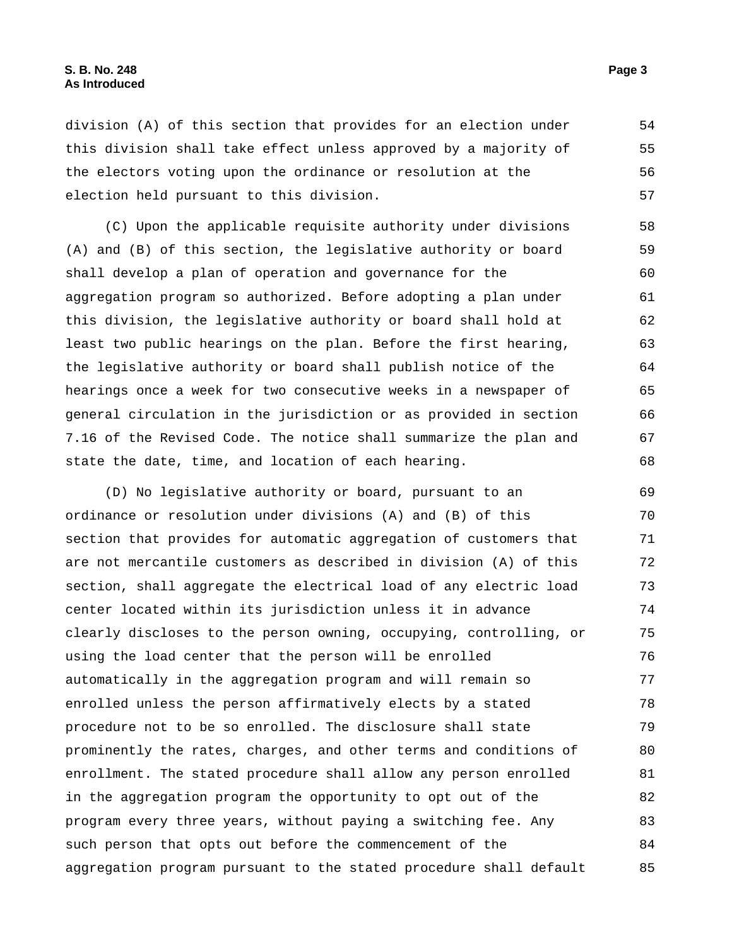division (A) of this section that provides for an election under this division shall take effect unless approved by a majority of the electors voting upon the ordinance or resolution at the election held pursuant to this division. 54 55 56 57

(C) Upon the applicable requisite authority under divisions (A) and (B) of this section, the legislative authority or board shall develop a plan of operation and governance for the aggregation program so authorized. Before adopting a plan under this division, the legislative authority or board shall hold at least two public hearings on the plan. Before the first hearing, the legislative authority or board shall publish notice of the hearings once a week for two consecutive weeks in a newspaper of general circulation in the jurisdiction or as provided in section 7.16 of the Revised Code. The notice shall summarize the plan and state the date, time, and location of each hearing. 58 59 60 61 62 63 64 65 66 67 68

(D) No legislative authority or board, pursuant to an ordinance or resolution under divisions (A) and (B) of this section that provides for automatic aggregation of customers that are not mercantile customers as described in division (A) of this section, shall aggregate the electrical load of any electric load center located within its jurisdiction unless it in advance clearly discloses to the person owning, occupying, controlling, or using the load center that the person will be enrolled automatically in the aggregation program and will remain so enrolled unless the person affirmatively elects by a stated procedure not to be so enrolled. The disclosure shall state prominently the rates, charges, and other terms and conditions of enrollment. The stated procedure shall allow any person enrolled in the aggregation program the opportunity to opt out of the program every three years, without paying a switching fee. Any such person that opts out before the commencement of the aggregation program pursuant to the stated procedure shall default 69 70 71 72 73 74 75 76 77 78 79 80 81 82 83 84 85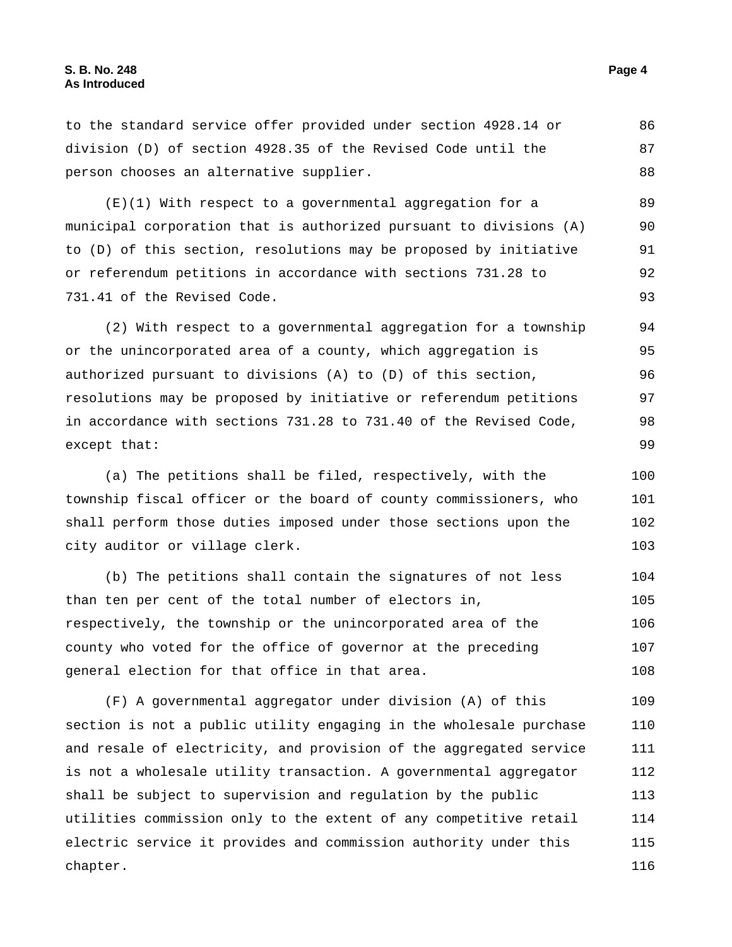to the standard service offer provided under section 4928.14 or division (D) of section 4928.35 of the Revised Code until the person chooses an alternative supplier. 86 87 88 (E)(1) With respect to a governmental aggregation for a municipal corporation that is authorized pursuant to divisions (A) to (D) of this section, resolutions may be proposed by initiative or referendum petitions in accordance with sections 731.28 to 731.41 of the Revised Code. 89 90 91 92 93 (2) With respect to a governmental aggregation for a township or the unincorporated area of a county, which aggregation is authorized pursuant to divisions (A) to (D) of this section, resolutions may be proposed by initiative or referendum petitions in accordance with sections 731.28 to 731.40 of the Revised Code, except that: 94 95 96 97 98 99 (a) The petitions shall be filed, respectively, with the township fiscal officer or the board of county commissioners, who shall perform those duties imposed under those sections upon the city auditor or village clerk. 100 101 102 103 (b) The petitions shall contain the signatures of not less than ten per cent of the total number of electors in, respectively, the township or the unincorporated area of the 104 105 106

county who voted for the office of governor at the preceding general election for that office in that area. 107 108

(F) A governmental aggregator under division (A) of this section is not a public utility engaging in the wholesale purchase and resale of electricity, and provision of the aggregated service is not a wholesale utility transaction. A governmental aggregator shall be subject to supervision and regulation by the public utilities commission only to the extent of any competitive retail electric service it provides and commission authority under this chapter. 109 110 111 112 113 114 115 116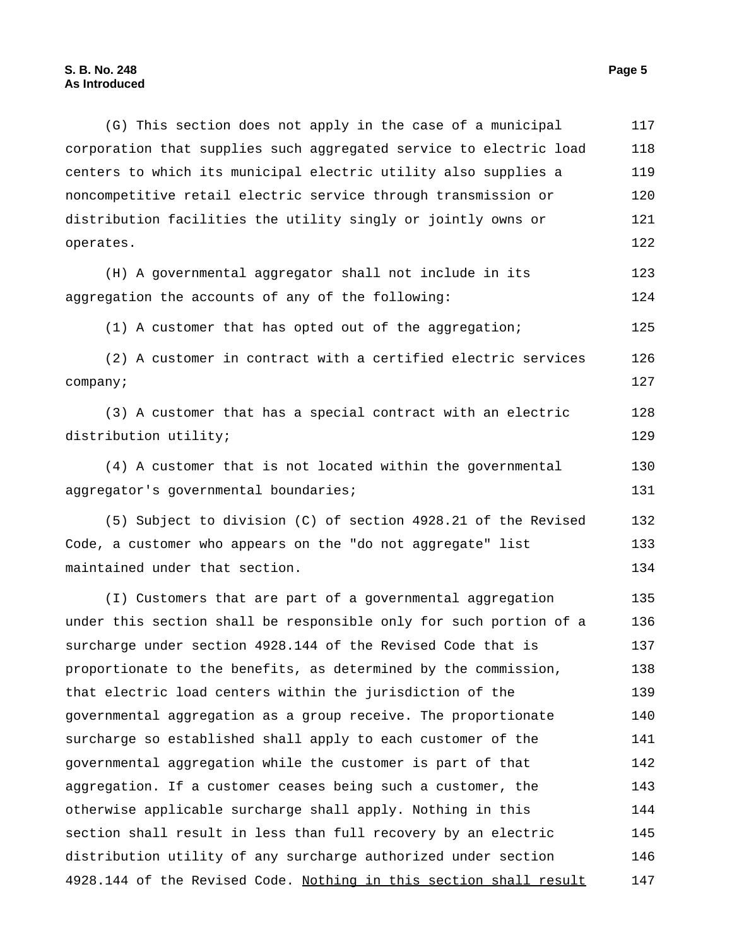(G) This section does not apply in the case of a municipal corporation that supplies such aggregated service to electric load centers to which its municipal electric utility also supplies a noncompetitive retail electric service through transmission or distribution facilities the utility singly or jointly owns or operates. 117 118 119 120 121 122

(H) A governmental aggregator shall not include in its aggregation the accounts of any of the following: 123 124

(1) A customer that has opted out of the aggregation; 125

(2) A customer in contract with a certified electric services company; 126 127

(3) A customer that has a special contract with an electric distribution utility; 128 129

(4) A customer that is not located within the governmental aggregator's governmental boundaries; 130 131

(5) Subject to division (C) of section 4928.21 of the Revised Code, a customer who appears on the "do not aggregate" list maintained under that section. 132 133 134

(I) Customers that are part of a governmental aggregation under this section shall be responsible only for such portion of a surcharge under section 4928.144 of the Revised Code that is proportionate to the benefits, as determined by the commission, that electric load centers within the jurisdiction of the governmental aggregation as a group receive. The proportionate surcharge so established shall apply to each customer of the governmental aggregation while the customer is part of that aggregation. If a customer ceases being such a customer, the otherwise applicable surcharge shall apply. Nothing in this section shall result in less than full recovery by an electric distribution utility of any surcharge authorized under section 4928.144 of the Revised Code. Nothing in this section shall result 135 136 137 138 139 140 141 142 143 144 145 146 147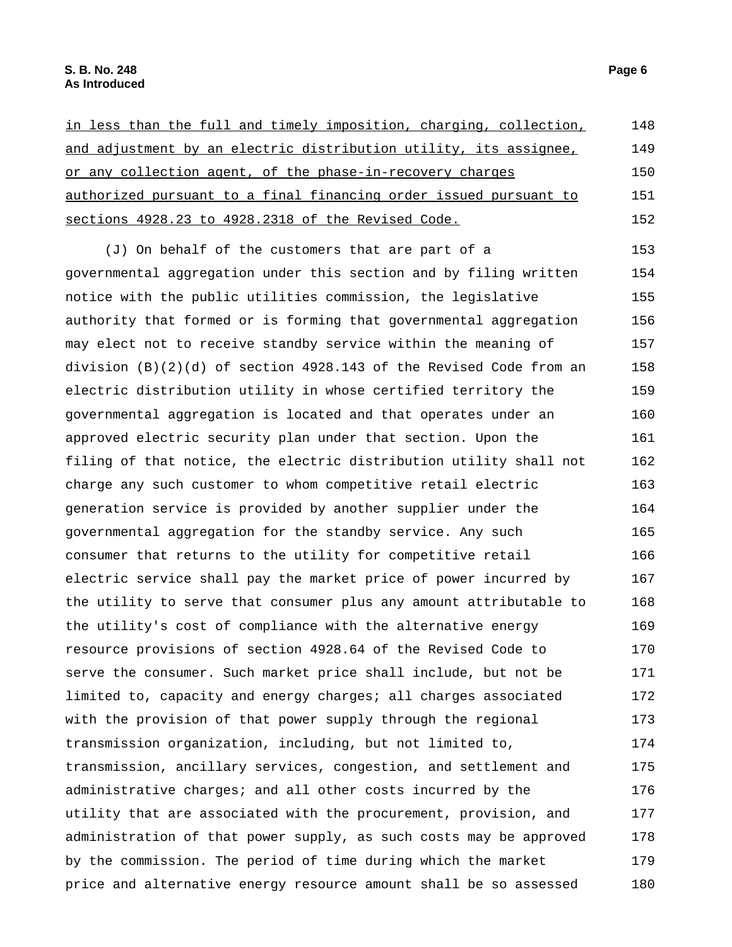| in less than the full and timely imposition, charging, collection, | 148 |
|--------------------------------------------------------------------|-----|
| and adjustment by an electric distribution utility, its assignee,  | 149 |
| or any collection agent, of the phase-in-recovery charges          | 150 |
| authorized pursuant to a final financing order issued pursuant to  | 151 |
| sections 4928.23 to 4928.2318 of the Revised Code.                 | 152 |

(J) On behalf of the customers that are part of a governmental aggregation under this section and by filing written notice with the public utilities commission, the legislative authority that formed or is forming that governmental aggregation may elect not to receive standby service within the meaning of division (B)(2)(d) of section 4928.143 of the Revised Code from an electric distribution utility in whose certified territory the governmental aggregation is located and that operates under an approved electric security plan under that section. Upon the filing of that notice, the electric distribution utility shall not charge any such customer to whom competitive retail electric generation service is provided by another supplier under the governmental aggregation for the standby service. Any such consumer that returns to the utility for competitive retail electric service shall pay the market price of power incurred by the utility to serve that consumer plus any amount attributable to the utility's cost of compliance with the alternative energy resource provisions of section 4928.64 of the Revised Code to serve the consumer. Such market price shall include, but not be limited to, capacity and energy charges; all charges associated with the provision of that power supply through the regional transmission organization, including, but not limited to, transmission, ancillary services, congestion, and settlement and administrative charges; and all other costs incurred by the utility that are associated with the procurement, provision, and administration of that power supply, as such costs may be approved by the commission. The period of time during which the market price and alternative energy resource amount shall be so assessed 153 154 155 156 157 158 159 160 161 162 163 164 165 166 167 168 169 170 171 172 173 174 175 176 177 178 179 180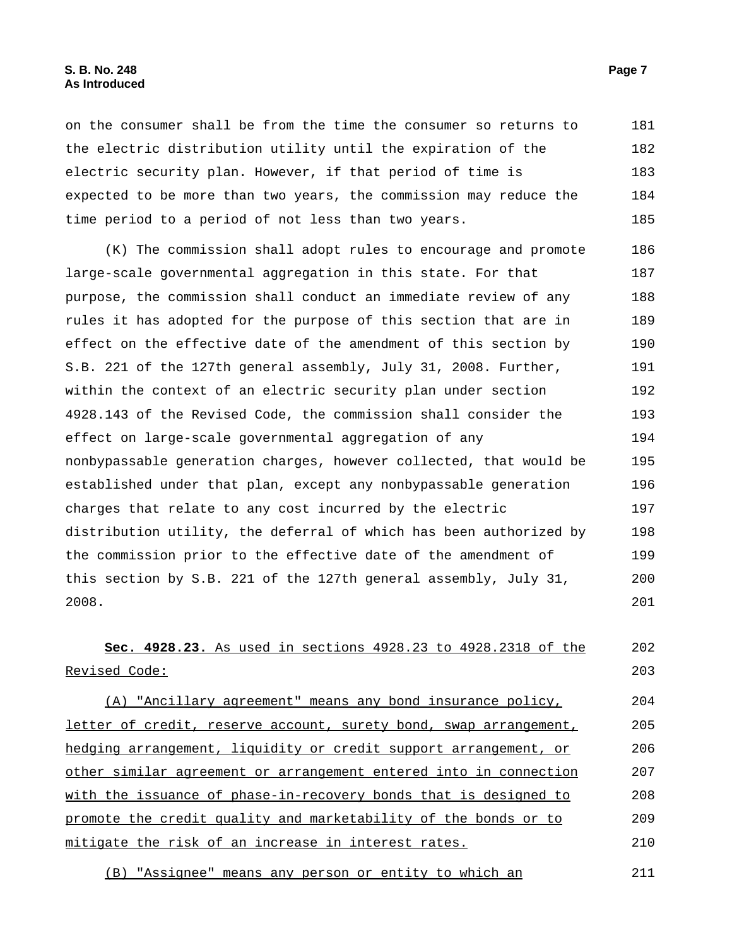on the consumer shall be from the time the consumer so returns to the electric distribution utility until the expiration of the electric security plan. However, if that period of time is expected to be more than two years, the commission may reduce the time period to a period of not less than two years. 181 182 183 184 185

(K) The commission shall adopt rules to encourage and promote large-scale governmental aggregation in this state. For that purpose, the commission shall conduct an immediate review of any rules it has adopted for the purpose of this section that are in effect on the effective date of the amendment of this section by S.B. 221 of the 127th general assembly, July 31, 2008. Further, within the context of an electric security plan under section 4928.143 of the Revised Code, the commission shall consider the effect on large-scale governmental aggregation of any nonbypassable generation charges, however collected, that would be established under that plan, except any nonbypassable generation charges that relate to any cost incurred by the electric distribution utility, the deferral of which has been authorized by the commission prior to the effective date of the amendment of this section by S.B. 221 of the 127th general assembly, July 31, 2008. 186 187 188 189 190 191 192 193 194 195 196 197 198 199 200 201

**Sec. 4928.23.** As used in sections 4928.23 to 4928.2318 of the Revised Code: 202 203

(A) "Ancillary agreement" means any bond insurance policy, letter of credit, reserve account, surety bond, swap arrangement, hedging arrangement, liquidity or credit support arrangement, or other similar agreement or arrangement entered into in connection with the issuance of phase-in-recovery bonds that is designed to promote the credit quality and marketability of the bonds or to mitigate the risk of an increase in interest rates. 204 205 206 207 208 209 210

(B) "Assignee" means any person or entity to which an 211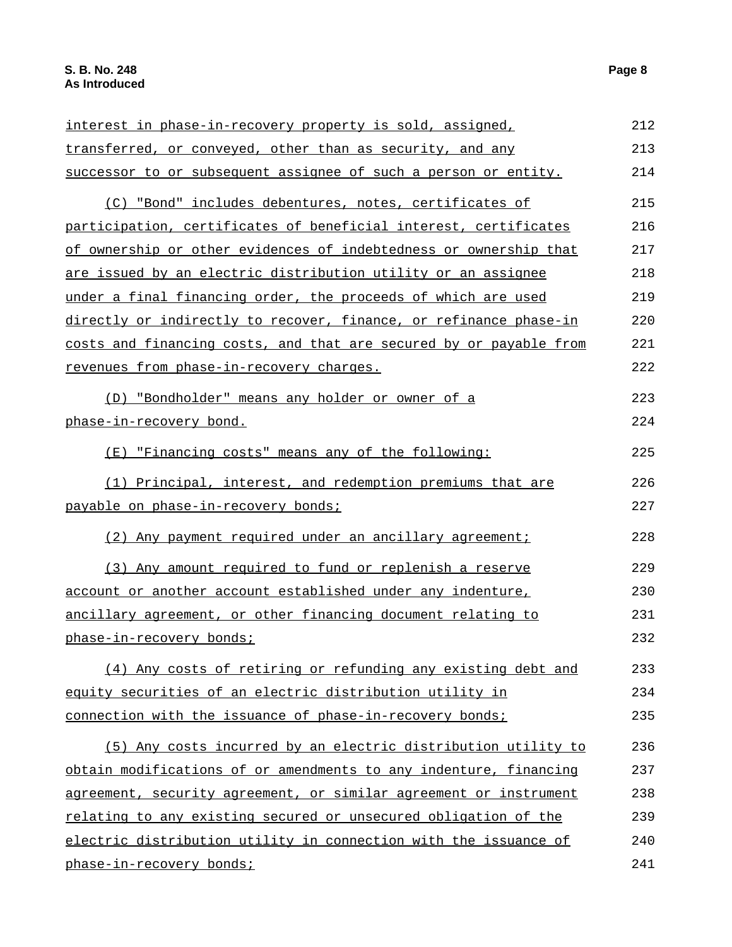### interest in phase-in-recovery property is sold, assigned, transferred, or conveyed, other than as security, and any successor to or subsequent assignee of such a person or entity. 212 213 214 (C) "Bond" includes debentures, notes, certificates of participation, certificates of beneficial interest, certificates of ownership or other evidences of indebtedness or ownership that are issued by an electric distribution utility or an assignee under a final financing order, the proceeds of which are used directly or indirectly to recover, finance, or refinance phase-in costs and financing costs, and that are secured by or payable from revenues from phase-in-recovery charges. 215 216 217 218 219 220 221 222 (D) "Bondholder" means any holder or owner of a phase-in-recovery bond. 223 224 (E) "Financing costs" means any of the following: 225 (1) Principal, interest, and redemption premiums that are payable on phase-in-recovery bonds; 226 227 (2) Any payment required under an ancillary agreement; 228 (3) Any amount required to fund or replenish a reserve account or another account established under any indenture, ancillary agreement, or other financing document relating to phase-in-recovery bonds; 229 230 231 232 (4) Any costs of retiring or refunding any existing debt and equity securities of an electric distribution utility in connection with the issuance of phase-in-recovery bonds; 233 234 235 (5) Any costs incurred by an electric distribution utility to obtain modifications of or amendments to any indenture, financing agreement, security agreement, or similar agreement or instrument relating to any existing secured or unsecured obligation of the electric distribution utility in connection with the issuance of phase-in-recovery bonds; 236 237 238 239  $240$ 241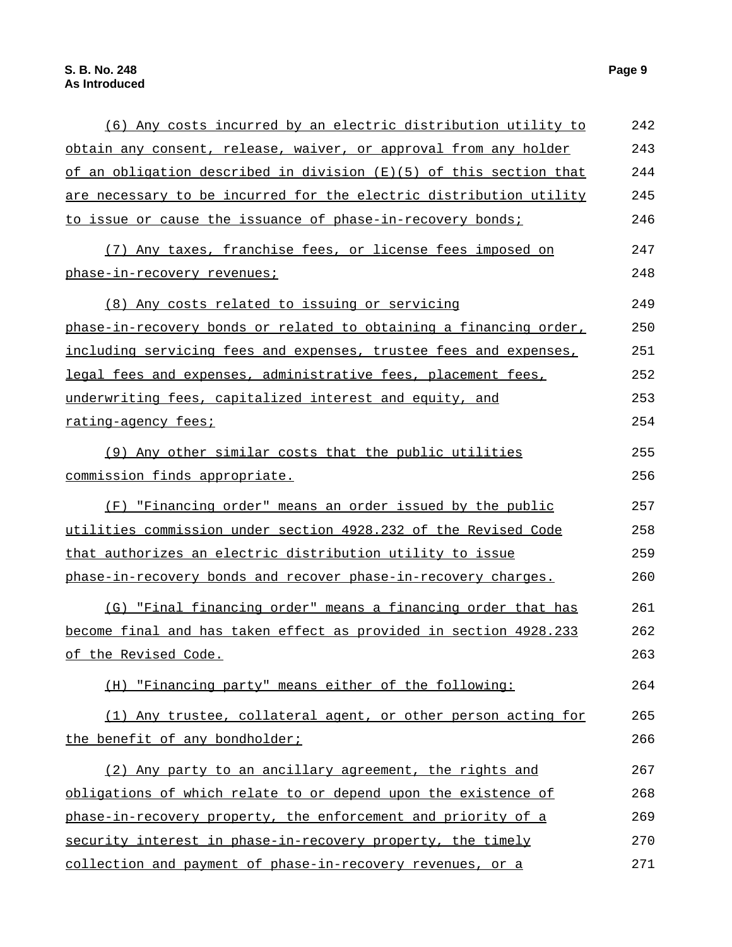### (6) Any costs incurred by an electric distribution utility to obtain any consent, release, waiver, or approval from any holder of an obligation described in division (E)(5) of this section that are necessary to be incurred for the electric distribution utility to issue or cause the issuance of phase-in-recovery bonds; 242 243 244 245 246 (7) Any taxes, franchise fees, or license fees imposed on phase-in-recovery revenues; 247 248 (8) Any costs related to issuing or servicing phase-in-recovery bonds or related to obtaining a financing order, including servicing fees and expenses, trustee fees and expenses, legal fees and expenses, administrative fees, placement fees, underwriting fees, capitalized interest and equity, and rating-agency fees; 249 250 251 252 253 254 (9) Any other similar costs that the public utilities commission finds appropriate. 255 256 (F) "Financing order" means an order issued by the public utilities commission under section 4928.232 of the Revised Code that authorizes an electric distribution utility to issue phase-in-recovery bonds and recover phase-in-recovery charges. 257 258 259 260 (G) "Final financing order" means a financing order that has become final and has taken effect as provided in section 4928.233 of the Revised Code. 261 262 263 (H) "Financing party" means either of the following: 264 (1) Any trustee, collateral agent, or other person acting for the benefit of any bondholder; 265 266 (2) Any party to an ancillary agreement, the rights and obligations of which relate to or depend upon the existence of phase-in-recovery property, the enforcement and priority of a security interest in phase-in-recovery property, the timely 267 268 269 270

collection and payment of phase-in-recovery revenues, or a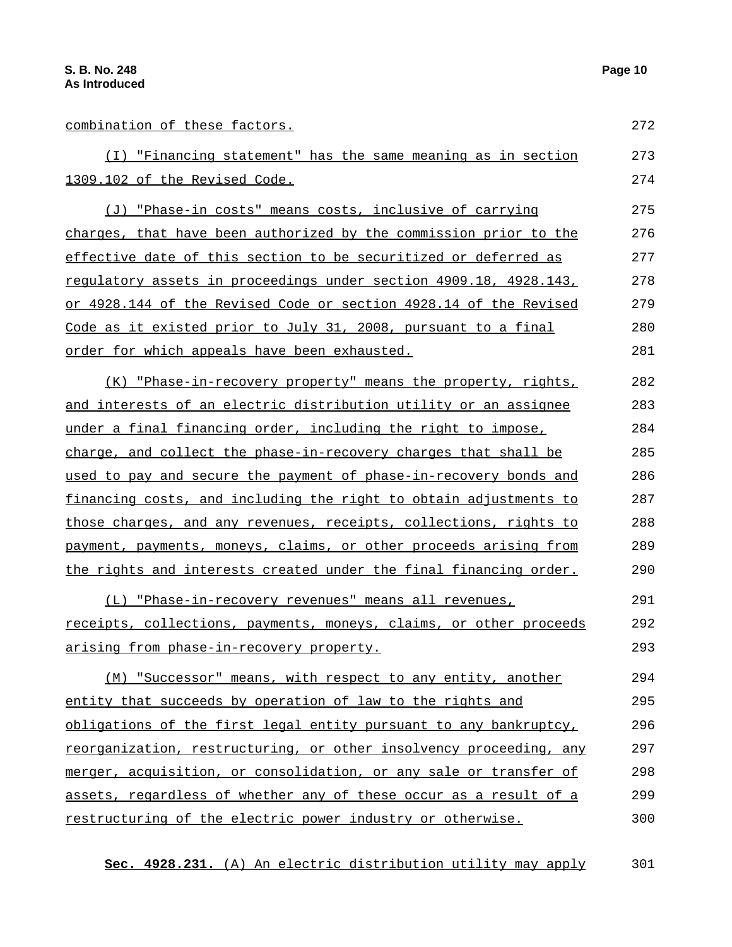| combination of these factors.                                             | 272 |
|---------------------------------------------------------------------------|-----|
| (I) "Financing statement" has the same meaning as in section              | 273 |
| 1309.102 of the Revised Code.                                             | 274 |
| (J) "Phase-in costs" means costs, inclusive of carrying                   | 275 |
| charges, that have been authorized by the commission prior to the         | 276 |
| effective date of this section to be securitized or deferred as           | 277 |
| regulatory assets in proceedings under section 4909.18, 4928.143,         | 278 |
| or 4928.144 of the Revised Code or section 4928.14 of the Revised         | 279 |
| Code as it existed prior to July 31, 2008, pursuant to a final            | 280 |
| order for which appeals have been exhausted.                              | 281 |
| (K) "Phase-in-recovery property" means the property, rights,              | 282 |
| and interests of an electric distribution utility or an assignee          | 283 |
| under a final financing order, including the right to impose,             | 284 |
| charge, and collect the phase-in-recovery charges that shall be           | 285 |
| used to pay and secure the payment of phase-in-recovery bonds and         | 286 |
| financing costs, and including the right to obtain adjustments to         | 287 |
| those charges, and any revenues, receipts, collections, rights to         | 288 |
| payment, payments, moneys, claims, or other proceeds arising from         | 289 |
| <u>the rights and interests created under the final financing order.</u>  | 290 |
| (L) "Phase-in-recovery revenues" means all revenues,                      | 291 |
| receipts, collections, payments, moneys, claims, or other proceeds        | 292 |
| arising from phase-in-recovery property.                                  | 293 |
| (M) "Successor" means, with respect to any entity, another                | 294 |
| entity that succeeds by operation of law to the rights and                | 295 |
| obligations of the first legal entity pursuant to any bankruptcy,         | 296 |
| <u>reorganization, restructuring, or other insolvency proceeding, any</u> | 297 |
| merger, acquisition, or consolidation, or any sale or transfer of         | 298 |
| assets, regardless of whether any of these occur as a result of a         | 299 |
| restructuring of the electric power industry or otherwise.                | 300 |

**Sec. 4928.231.** (A) An electric distribution utility may apply 301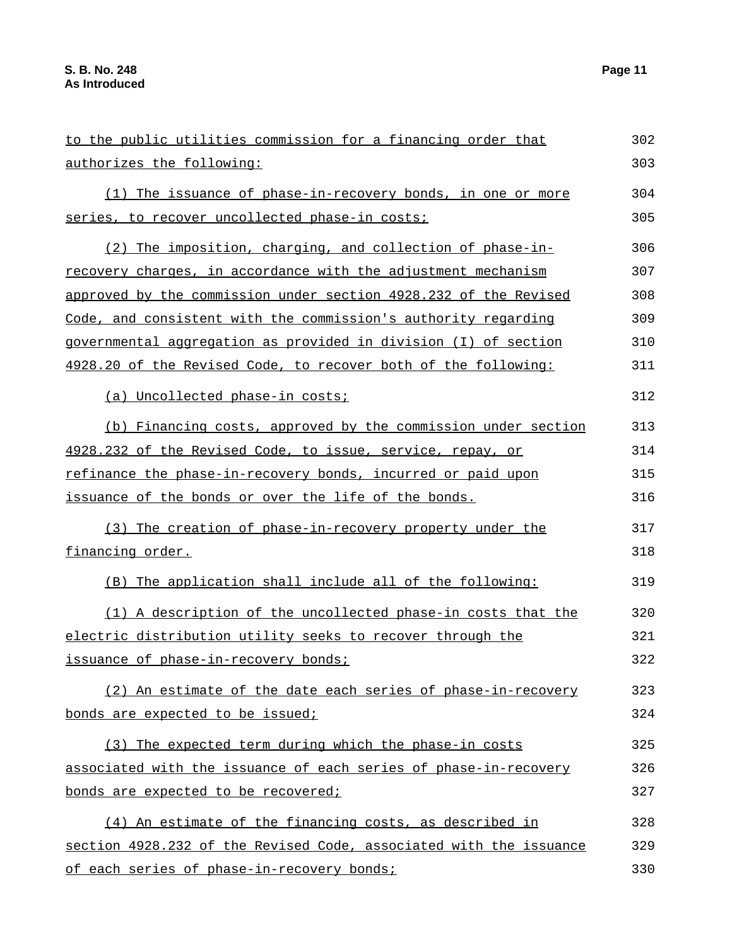| to the public utilities commission for a financing order that      | 302 |
|--------------------------------------------------------------------|-----|
| authorizes the following:                                          | 303 |
| (1) The issuance of phase-in-recovery bonds, in one or more        | 304 |
| series, to recover uncollected phase-in costs;                     | 305 |
| (2) The imposition, charging, and collection of phase-in-          | 306 |
| recovery charges, in accordance with the adjustment mechanism      | 307 |
| approved by the commission under section 4928.232 of the Revised   | 308 |
| Code, and consistent with the commission's authority regarding     | 309 |
| governmental aggregation as provided in division (I) of section    | 310 |
| 4928.20 of the Revised Code, to recover both of the following:     | 311 |
| (a) Uncollected phase-in costs;                                    | 312 |
| (b) Financing costs, approved by the commission under section      | 313 |
| 4928.232 of the Revised Code, to issue, service, repay, or         | 314 |
| refinance the phase-in-recovery bonds, incurred or paid upon       | 315 |
| issuance of the bonds or over the life of the bonds.               | 316 |
| (3) The creation of phase-in-recovery property under the           | 317 |
| financing order.                                                   | 318 |
| (B) The application shall include all of the following:            | 319 |
| (1) A description of the uncollected phase-in costs that the       | 320 |
| electric distribution utility seeks to recover through the         | 321 |
| issuance of phase-in-recovery bonds;                               | 322 |
| (2) An estimate of the date each series of phase-in-recovery       | 323 |
| bonds are expected to be issued;                                   | 324 |
| (3) The expected term during which the phase-in costs              | 325 |
| associated with the issuance of each series of phase-in-recovery   | 326 |
| bonds are expected to be recovered;                                | 327 |
| (4) An estimate of the financing costs, as described in            | 328 |
| section 4928.232 of the Revised Code, associated with the issuance | 329 |
| of each series of phase-in-recovery bonds;                         | 330 |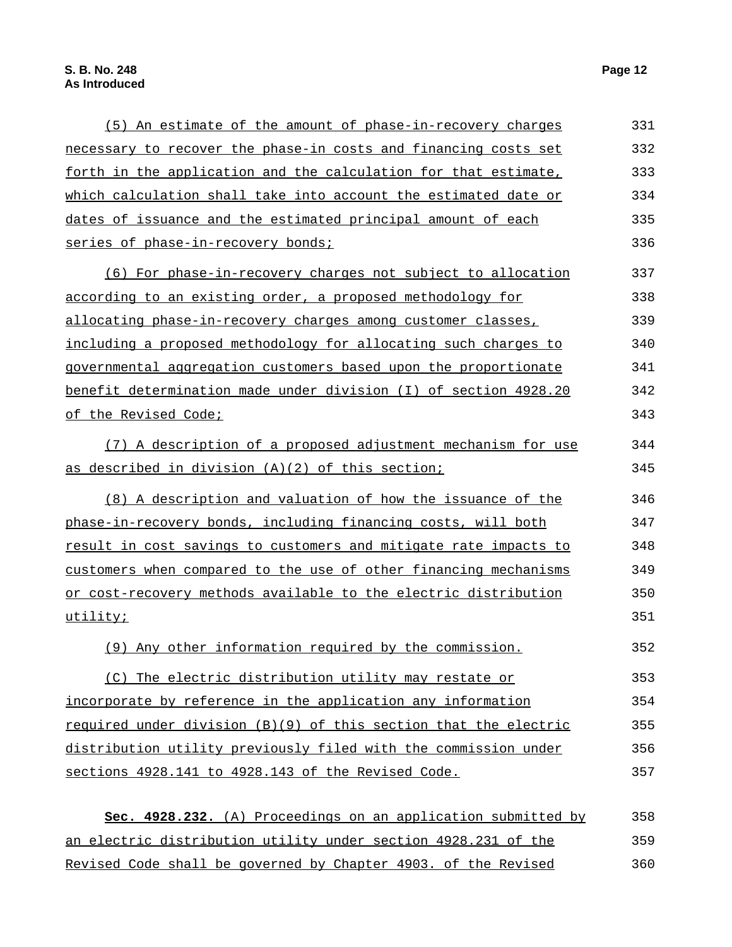| forth in the application and the calculation for that estimate,  | 333 |
|------------------------------------------------------------------|-----|
| which calculation shall take into account the estimated date or  | 334 |
| dates of issuance and the estimated principal amount of each     | 335 |
| series of phase-in-recovery bonds;                               | 336 |
| (6) For phase-in-recovery charges not subject to allocation      | 337 |
| according to an existing order, a proposed methodology for       | 338 |
| allocating phase-in-recovery charges among customer classes,     | 339 |
| including a proposed methodology for allocating such charges to  | 340 |
| governmental aggregation customers based upon the proportionate  | 341 |
| benefit determination made under division (I) of section 4928.20 | 342 |
| of the Revised Code;                                             | 343 |
| (7) A description of a proposed adjustment mechanism for use     | 344 |
| as described in division (A)(2) of this section;                 | 345 |
| (8) A description and valuation of how the issuance of the       | 346 |
| phase-in-recovery bonds, including financing costs, will both    | 347 |
| result in cost savings to customers and mitigate rate impacts to | 348 |
| customers when compared to the use of other financing mechanisms | 349 |
| or cost-recovery methods available to the electric distribution  | 350 |
| utility;                                                         | 351 |
| (9) Any other information required by the commission.            | 352 |
| (C) The electric distribution utility may restate or             | 353 |
| incorporate by reference in the application any information      | 354 |
| required under division (B)(9) of this section that the electric | 355 |
| distribution utility previously filed with the commission under  | 356 |
|                                                                  |     |

**Sec. 4928.232.** (A) Proceedings on an application submitted by an electric distribution utility under section 4928.231 of the Revised Code shall be governed by Chapter 4903. of the Revised 358 359 360

sections 4928.141 to 4928.143 of the Revised Code.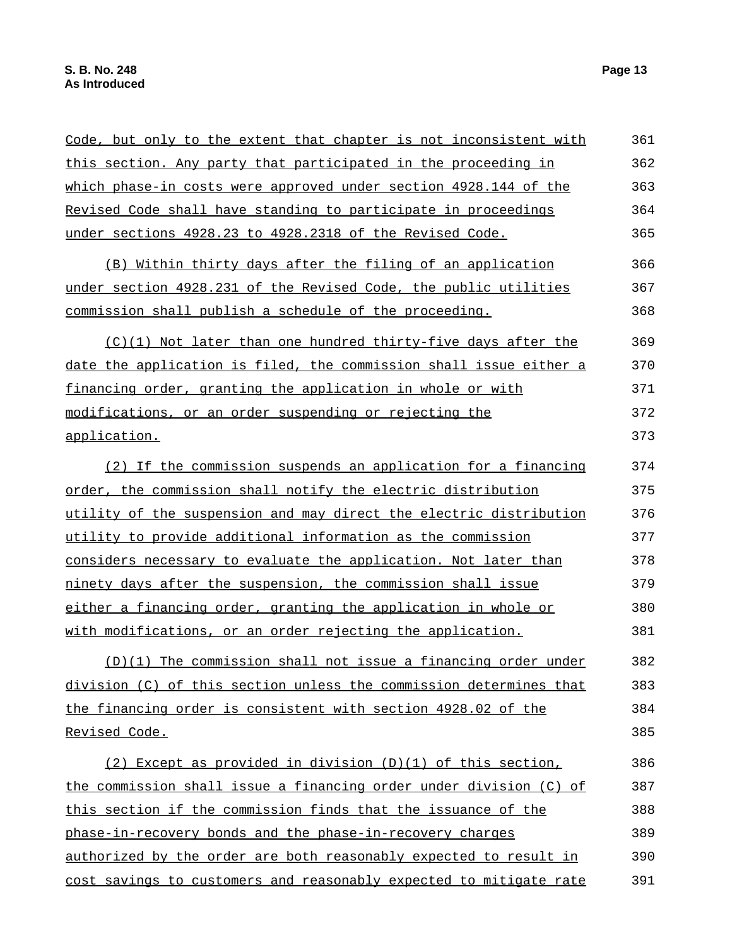| Code, but only to the extent that chapter is not inconsistent with | 361 |
|--------------------------------------------------------------------|-----|
| this section. Any party that participated in the proceeding in     | 362 |
| which phase-in costs were approved under section 4928.144 of the   | 363 |
| Revised Code shall have standing to participate in proceedings     | 364 |
| under sections 4928.23 to 4928.2318 of the Revised Code.           | 365 |
| (B) Within thirty days after the filing of an application          | 366 |
| under section 4928.231 of the Revised Code, the public utilities   | 367 |
| commission shall publish a schedule of the proceeding.             | 368 |
| (C)(1) Not later than one hundred thirty-five days after the       | 369 |
| date the application is filed, the commission shall issue either a | 370 |
| financing order, granting the application in whole or with         | 371 |
| modifications, or an order suspending or rejecting the             | 372 |
| application.                                                       | 373 |
| (2) If the commission suspends an application for a financing      | 374 |
| order, the commission shall notify the electric distribution       | 375 |
| utility of the suspension and may direct the electric distribution | 376 |
| utility to provide additional information as the commission        | 377 |
| considers necessary to evaluate the application. Not later than    | 378 |
| ninety days after the suspension, the commission shall issue       | 379 |
| either a financing order, granting the application in whole or     | 380 |
| with modifications, or an order rejecting the application.         | 381 |
| (D)(1) The commission shall not issue a financing order under      | 382 |
| division (C) of this section unless the commission determines that | 383 |
| the financing order is consistent with section 4928.02 of the      | 384 |
| Revised Code.                                                      | 385 |
| $(2)$ Except as provided in division $(D)(1)$ of this section,     | 386 |
| the commission shall issue a financing order under division (C) of | 387 |
| this section if the commission finds that the issuance of the      | 388 |
| phase-in-recovery bonds and the phase-in-recovery charges          | 389 |
| authorized by the order are both reasonably expected to result in  | 390 |
| cost savings to customers and reasonably expected to mitigate rate | 391 |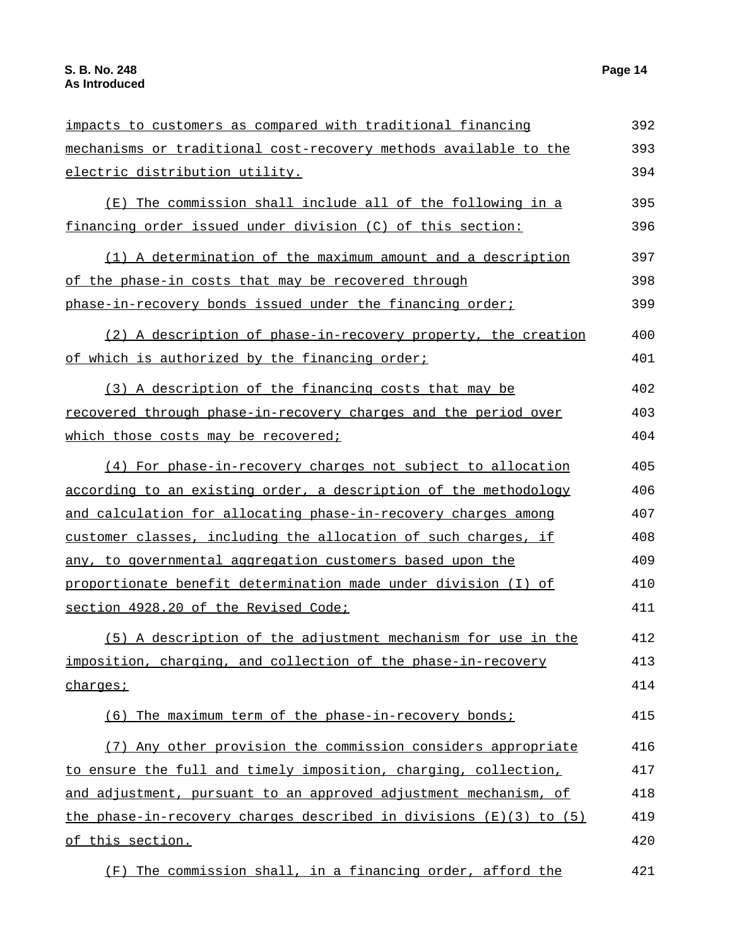| impacts to customers as compared with traditional financing        | 392 |
|--------------------------------------------------------------------|-----|
| mechanisms or traditional cost-recovery methods available to the   | 393 |
| electric distribution utility.                                     | 394 |
| (E) The commission shall include all of the following in a         | 395 |
| financing order issued under division (C) of this section:         | 396 |
| (1) A determination of the maximum amount and a description        | 397 |
| of the phase-in costs that may be recovered through                | 398 |
| phase-in-recovery bonds issued under the financing order;          | 399 |
| (2) A description of phase-in-recovery property, the creation      | 400 |
| of which is authorized by the financing order;                     | 401 |
| (3) A description of the financing costs that may be               | 402 |
| recovered through phase-in-recovery charges and the period over    | 403 |
| which those costs may be recovered;                                | 404 |
| (4) For phase-in-recovery charges not subject to allocation        | 405 |
| according to an existing order, a description of the methodology   | 406 |
| and calculation for allocating phase-in-recovery charges among     | 407 |
| customer classes, including the allocation of such charges, if     | 408 |
| any, to governmental aggregation customers based upon the          | 409 |
| proportionate benefit determination made under division (I) of     | 410 |
| section 4928.20 of the Revised Code;                               | 411 |
| (5) A description of the adjustment mechanism for use in the       | 412 |
| imposition, charging, and collection of the phase-in-recovery      | 413 |
| charges;                                                           | 414 |
| (6) The maximum term of the phase-in-recovery bonds;               | 415 |
| (7) Any other provision the commission considers appropriate       | 416 |
| to ensure the full and timely imposition, charging, collection,    | 417 |
| and adjustment, pursuant to an approved adjustment mechanism, of   | 418 |
| the phase-in-recovery charges described in divisions (E)(3) to (5) | 419 |
| of this section.                                                   | 420 |
| (F) The commission shall, in a financing order, afford the         | 421 |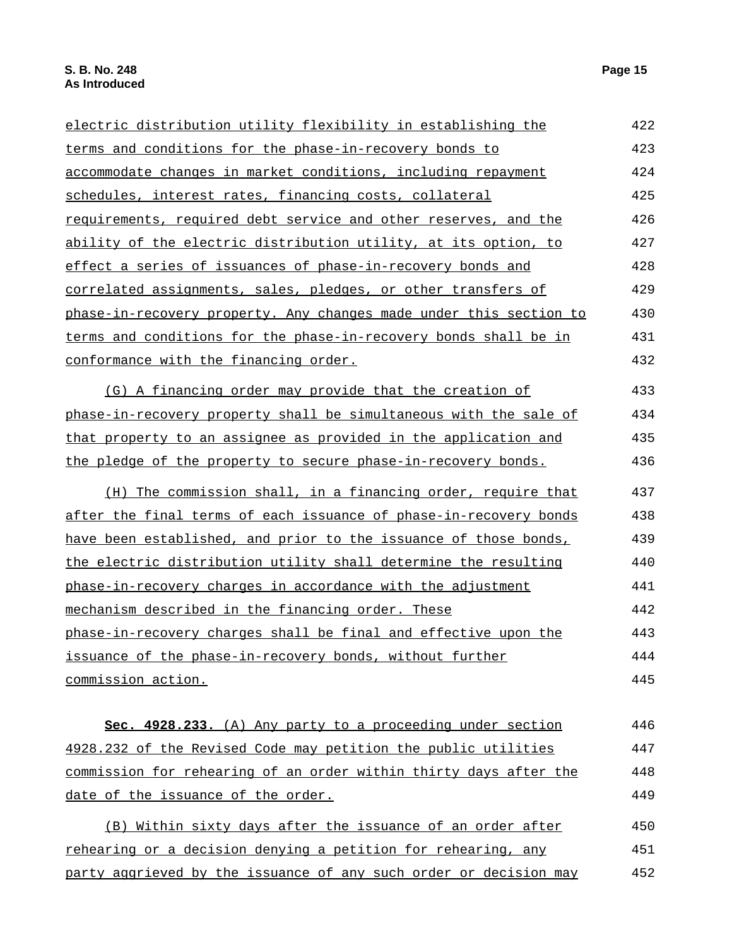| electric distribution utility flexibility in establishing the                                                                | 422        |
|------------------------------------------------------------------------------------------------------------------------------|------------|
| terms and conditions for the phase-in-recovery bonds to                                                                      | 423        |
| accommodate changes in market conditions, including repayment                                                                | 424        |
| schedules, interest rates, financing costs, collateral                                                                       | 425        |
| requirements, required debt service and other reserves, and the                                                              | 426        |
| ability of the electric distribution utility, at its option, to                                                              | 427        |
| effect a series of issuances of phase-in-recovery bonds and                                                                  | 428        |
| correlated assignments, sales, pledges, or other transfers of                                                                | 429        |
| phase-in-recovery property. Any changes made under this section to                                                           | 430        |
| terms and conditions for the phase-in-recovery bonds shall be in                                                             | 431        |
| conformance with the financing order.                                                                                        | 432        |
| (G) A financing order may provide that the creation of                                                                       | 433        |
| phase-in-recovery property shall be simultaneous with the sale of                                                            | 434        |
| that property to an assignee as provided in the application and                                                              | 435        |
| the pledge of the property to secure phase-in-recovery bonds.                                                                | 436        |
| (H) The commission shall, in a financing order, require that                                                                 | 437        |
| after the final terms of each issuance of phase-in-recovery bonds                                                            | 438        |
| have been established, and prior to the issuance of those bonds,                                                             | 439        |
| the electric distribution utility shall determine the resulting                                                              | 440        |
| phase-in-recovery charges in accordance with the adjustment                                                                  | 441        |
| mechanism described in the financing order. These                                                                            | 442        |
| phase-in-recovery charges shall be final and effective upon the                                                              | 443        |
| issuance of the phase-in-recovery bonds, without further                                                                     | 444        |
| commission action.                                                                                                           | 445        |
|                                                                                                                              | 446        |
| Sec. 4928.233. (A) Any party to a proceeding under section<br>4928.232 of the Revised Code may petition the public utilities |            |
| commission for rehearing of an order within thirty days after the                                                            | 447<br>448 |
|                                                                                                                              |            |
| date of the issuance of the order.                                                                                           | 449        |
| (B) Within sixty days after the issuance of an order after                                                                   | 450        |
| rehearing or a decision denying a petition for rehearing, any                                                                | 451        |
| party aggrieved by the issuance of any such order or decision may                                                            | 452        |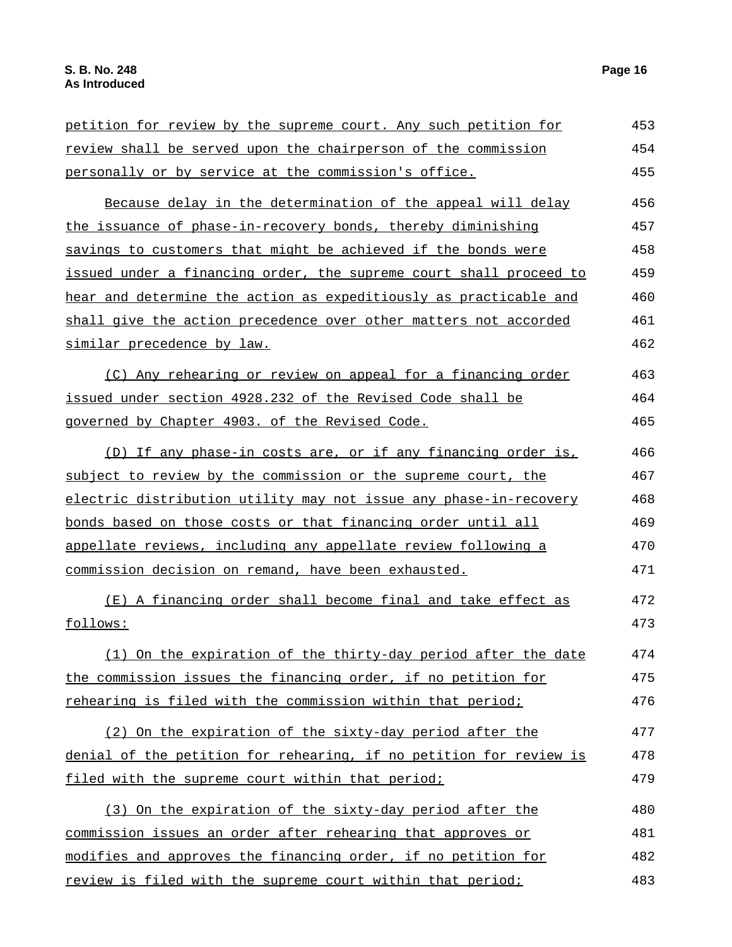| petition for review by the supreme court. Any such petition for    | 453 |
|--------------------------------------------------------------------|-----|
| review shall be served upon the chairperson of the commission      | 454 |
| personally or by service at the commission's office.               | 455 |
| Because delay in the determination of the appeal will delay        | 456 |
| the issuance of phase-in-recovery bonds, thereby diminishing       | 457 |
| savings to customers that might be achieved if the bonds were      | 458 |
| issued under a financing order, the supreme court shall proceed to | 459 |
| hear and determine the action as expeditiously as practicable and  | 460 |
| shall give the action precedence over other matters not accorded   | 461 |
| similar precedence by law.                                         | 462 |
| (C) Any rehearing or review on appeal for a financing order        | 463 |
| issued under section 4928.232 of the Revised Code shall be         | 464 |
| governed by Chapter 4903. of the Revised Code.                     | 465 |
| (D) If any phase-in costs are, or if any financing order is,       | 466 |
| subject to review by the commission or the supreme court, the      | 467 |
| electric distribution utility may not issue any phase-in-recovery  | 468 |
| bonds based on those costs or that financing order until all       | 469 |
| appellate reviews, including any appellate review following a      | 470 |
| commission decision on remand, have been exhausted.                | 471 |
| (E) A financing order shall become final and take effect as        | 472 |
| follows:                                                           | 473 |
| (1) On the expiration of the thirty-day period after the date      | 474 |
| the commission issues the financing order, if no petition for      | 475 |
| rehearing is filed with the commission within that period;         | 476 |
| (2) On the expiration of the sixty-day period after the            | 477 |
| denial of the petition for rehearing, if no petition for review is | 478 |
| filed with the supreme court within that period;                   | 479 |
| (3) On the expiration of the sixty-day period after the            | 480 |
| commission issues an order after rehearing that approves or        | 481 |
| modifies and approves the financing order, if no petition for      | 482 |
| review is filed with the supreme court within that period;         | 483 |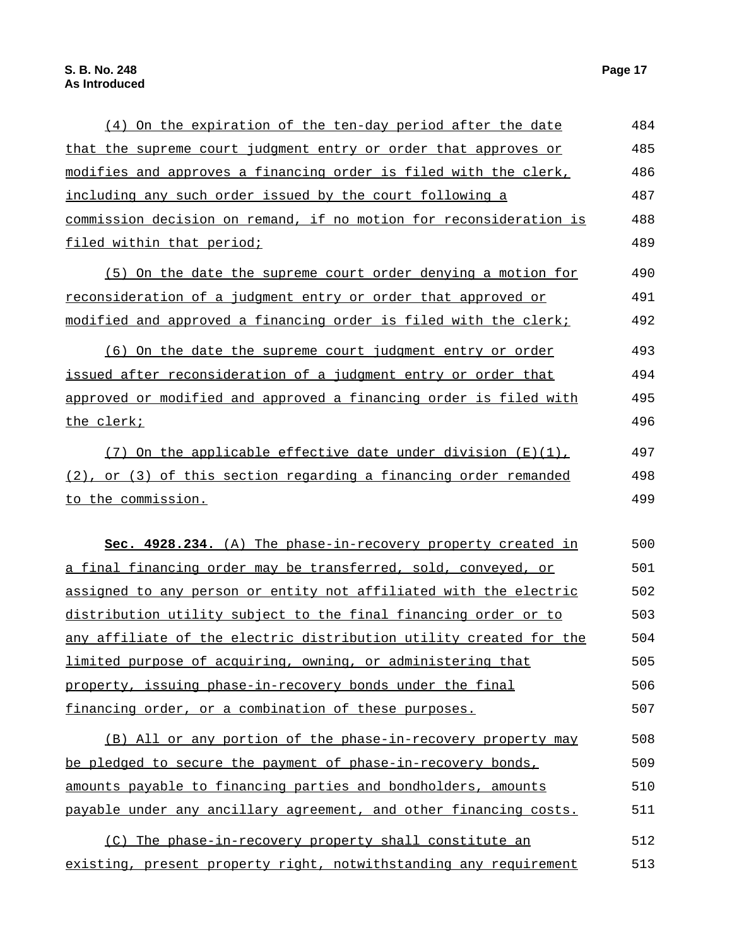the clerk;

to the commission.

that the supreme court judgment entry or order that approves or modifies and approves a financing order is filed with the clerk, including any such order issued by the court following a commission decision on remand, if no motion for reconsideration is filed within that period; 485 486 487 488 489 (5) On the date the supreme court order denying a motion for reconsideration of a judgment entry or order that approved or modified and approved a financing order is filed with the clerk; 490 491 492 (6) On the date the supreme court judgment entry or order issued after reconsideration of a judgment entry or order that approved or modified and approved a financing order is filed with 493 494 495 496 (7) On the applicable effective date under division  $(E)(1)$ , (2), or (3) of this section regarding a financing order remanded 497 498 499 **Sec. 4928.234.** (A) The phase-in-recovery property created in a final financing order may be transferred, sold, conveyed, or assigned to any person or entity not affiliated with the electric distribution utility subject to the final financing order or to any affiliate of the electric distribution utility created for the 500 501 502 503 504

limited purpose of acquiring, owning, or administering that property, issuing phase-in-recovery bonds under the final financing order, or a combination of these purposes. 505 506 507

(4) On the expiration of the ten-day period after the date

(B) All or any portion of the phase-in-recovery property may be pledged to secure the payment of phase-in-recovery bonds, amounts payable to financing parties and bondholders, amounts payable under any ancillary agreement, and other financing costs. 508 509 510 511

(C) The phase-in-recovery property shall constitute an existing, present property right, notwithstanding any requirement 512 513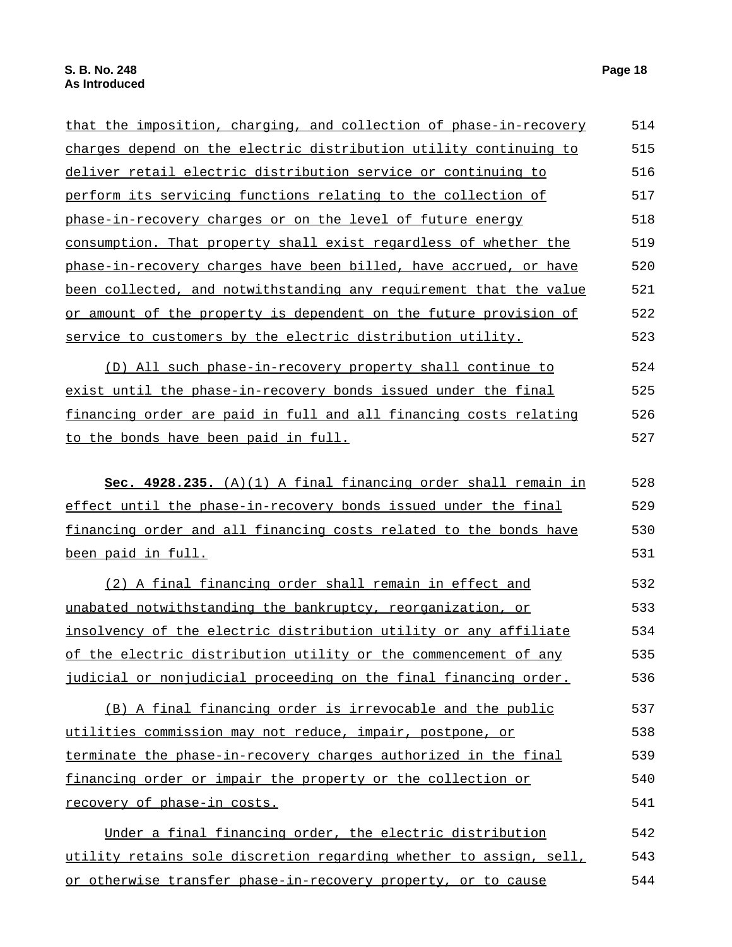| that the imposition, charging, and collection of phase-in-recovery   | 514 |
|----------------------------------------------------------------------|-----|
| charges depend on the electric distribution utility continuing to    | 515 |
| <u>deliver retail electric distribution service or continuing to</u> | 516 |
| perform its servicing functions relating to the collection of        | 517 |
| phase-in-recovery charges or on the level of future energy           | 518 |
| consumption. That property shall exist regardless of whether the     | 519 |
| phase-in-recovery charges have been billed, have accrued, or have    | 520 |
| been collected, and notwithstanding any requirement that the value   | 521 |
| or amount of the property is dependent on the future provision of    | 522 |
| service to customers by the electric distribution utility.           | 523 |
| (D) All such phase-in-recovery property shall continue to            | 524 |
| exist until the phase-in-recovery bonds issued under the final       | 525 |
| financing order are paid in full and all financing costs relating    | 526 |
| to the bonds have been paid in full.                                 | 527 |
| Sec. 4928.235. (A)(1) A final financing order shall remain in        | 528 |
| effect until the phase-in-recovery bonds issued under the final      | 529 |
| financing order and all financing costs related to the bonds have    | 530 |
| been paid in full.                                                   | 531 |
| (2) A final financing order shall remain in effect and               | 532 |
| unabated notwithstanding the bankruptcy, reorganization, or          | 533 |
| insolvency of the electric distribution utility or any affiliate     | 534 |
| of the electric distribution utility or the commencement of any      | 535 |
| judicial or nonjudicial proceeding on the final financing order.     | 536 |
| (B) A final financing order is irrevocable and the public            | 537 |
| utilities commission may not reduce, impair, postpone, or            | 538 |
| terminate the phase-in-recovery charges authorized in the final      | 539 |
| financing order or impair the property or the collection or          | 540 |
| recovery of phase-in costs.                                          | 541 |
| Under a final financing order, the electric distribution             | 542 |
| utility retains sole discretion regarding whether to assign, sell,   | 543 |
| or otherwise transfer phase-in-recovery property, or to cause        | 544 |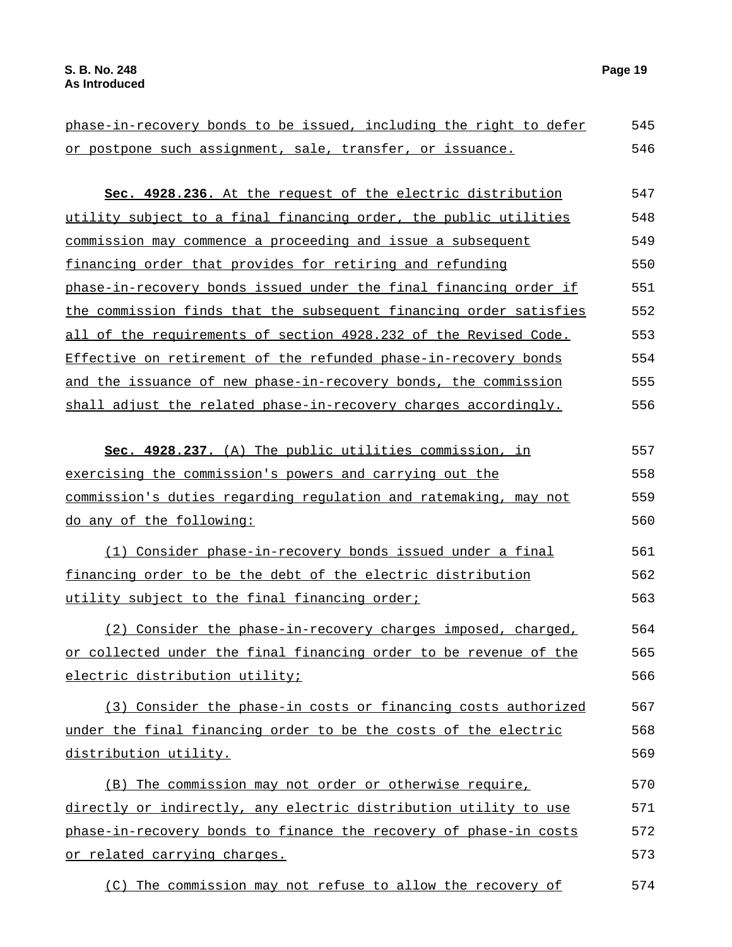| phase-in-recovery bonds to be issued, including the right to defer | 545 |
|--------------------------------------------------------------------|-----|
| or postpone such assignment, sale, transfer, or issuance.          | 546 |
| Sec. 4928.236. At the request of the electric distribution         | 547 |
| utility subject to a final financing order, the public utilities   | 548 |
| commission may commence a proceeding and issue a subsequent        | 549 |
| financing order that provides for retiring and refunding           | 550 |
| phase-in-recovery bonds issued under the final financing order if  | 551 |
| the commission finds that the subsequent financing order satisfies | 552 |
| all of the requirements of section 4928.232 of the Revised Code.   | 553 |
| Effective on retirement of the refunded phase-in-recovery bonds    | 554 |
| and the issuance of new phase-in-recovery bonds, the commission    | 555 |
| shall adjust the related phase-in-recovery charges accordingly.    | 556 |
| Sec. 4928.237. (A) The public utilities commission, in             | 557 |
| exercising the commission's powers and carrying out the            | 558 |
| commission's duties regarding regulation and ratemaking, may not   | 559 |
| do any of the following:                                           | 560 |
| (1) Consider phase-in-recovery bonds issued under a final          | 561 |
| financing order to be the debt of the electric distribution        | 562 |
| utility subject to the final financing order;                      | 563 |
| (2) Consider the phase-in-recovery charges imposed, charged,       | 564 |
| or collected under the final financing order to be revenue of the  | 565 |
| electric distribution utility;                                     | 566 |
| (3) Consider the phase-in costs or financing costs authorized      | 567 |
| under the final financing order to be the costs of the electric    | 568 |
| distribution utility.                                              | 569 |
| (B) The commission may not order or otherwise require,             | 570 |
| directly or indirectly, any electric distribution utility to use   | 571 |
| phase-in-recovery bonds to finance the recovery of phase-in costs  | 572 |
| or related carrying charges.                                       | 573 |
| (C) The commission may not refuse to allow the recovery of         | 574 |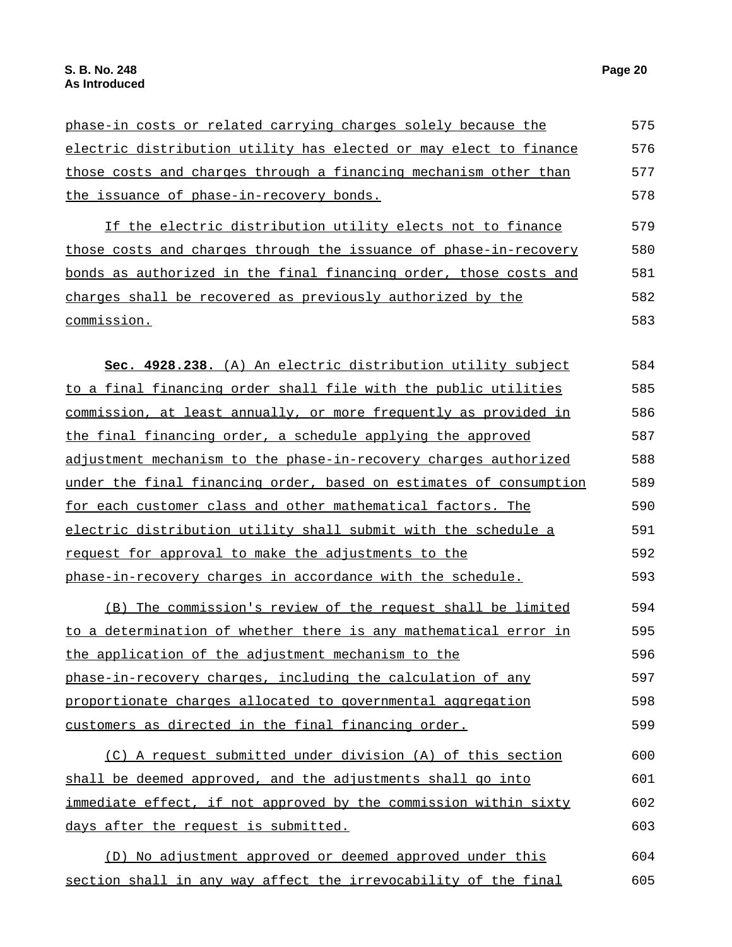| phase-in costs or related carrying charges solely because the     | 575 |
|-------------------------------------------------------------------|-----|
| electric distribution utility has elected or may elect to finance | 576 |
| those costs and charges through a financing mechanism other than  | 577 |
| the issuance of phase-in-recovery bonds.                          | 578 |
| If the electric distribution utility elects not to finance        | 579 |
| those costs and charges through the issuance of phase-in-recovery | 580 |
| bonds as authorized in the final financing order, those costs and | 581 |
| charges shall be recovered as previously authorized by the        | 582 |
| commission.                                                       | 583 |

| Sec. 4928.238. (A) An electric distribution utility subject        | 584 |
|--------------------------------------------------------------------|-----|
| to a final financing order shall file with the public utilities    | 585 |
| commission, at least annually, or more frequently as provided in   | 586 |
| the final financing order, a schedule applying the approved        | 587 |
| adjustment mechanism to the phase-in-recovery charges authorized   | 588 |
| under the final financing order, based on estimates of consumption | 589 |
| for each customer class and other mathematical factors. The        | 590 |
| electric distribution utility shall submit with the schedule a     | 591 |
| request for approval to make the adjustments to the                | 592 |
| phase-in-recovery charges in accordance with the schedule.         | 593 |
|                                                                    |     |

(B) The commission's review of the request shall be limited to a determination of whether there is any mathematical error in the application of the adjustment mechanism to the phase-in-recovery charges, including the calculation of any proportionate charges allocated to governmental aggregation customers as directed in the final financing order. 594 595 596 597 598 599

(C) A request submitted under division (A) of this section shall be deemed approved, and the adjustments shall go into immediate effect, if not approved by the commission within sixty days after the request is submitted. 600 601 602 603

(D) No adjustment approved or deemed approved under this section shall in any way affect the irrevocability of the final 604 605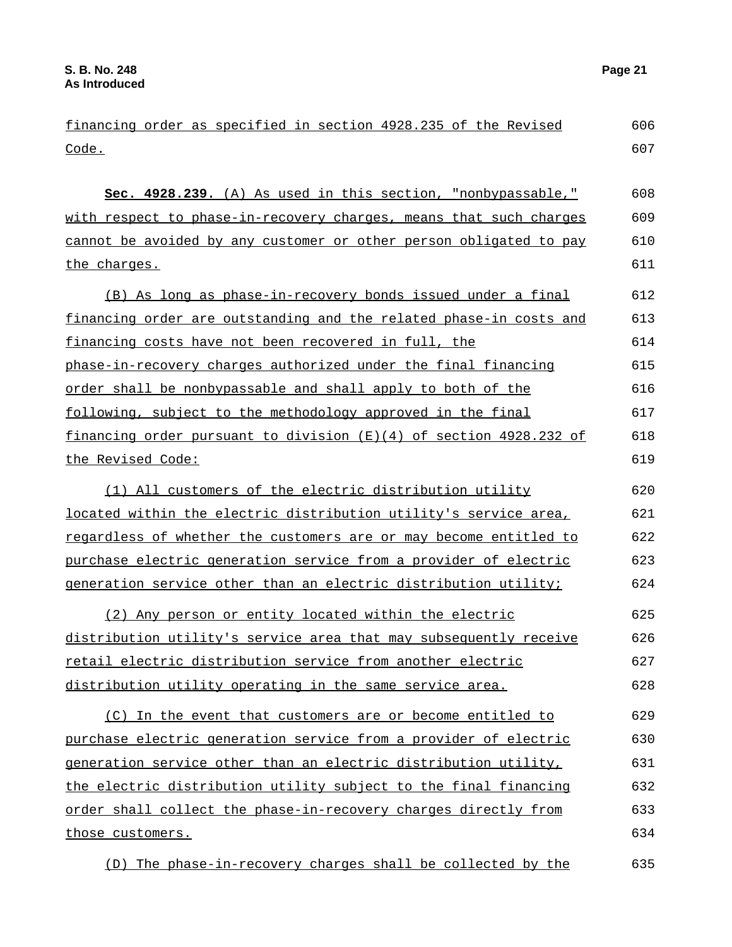**Sec. 4928.239.** (A) As used in this section, "nonbypassable," with respect to phase-in-recovery charges, means that such charges cannot be avoided by any customer or other person obligated to pay the charges. 608 609 610 611

(B) As long as phase-in-recovery bonds issued under a final financing order are outstanding and the related phase-in costs and financing costs have not been recovered in full, the phase-in-recovery charges authorized under the final financing order shall be nonbypassable and shall apply to both of the following, subject to the methodology approved in the final financing order pursuant to division  $(E)(4)$  of section  $4928.232$  of the Revised Code: 612 613 614 615 616 617 618 619

(1) All customers of the electric distribution utility located within the electric distribution utility's service area, regardless of whether the customers are or may become entitled to purchase electric generation service from a provider of electric generation service other than an electric distribution utility; 620 621 622 623 624

(2) Any person or entity located within the electric distribution utility's service area that may subsequently receive retail electric distribution service from another electric distribution utility operating in the same service area. 625 626 627 628

(C) In the event that customers are or become entitled to purchase electric generation service from a provider of electric generation service other than an electric distribution utility, the electric distribution utility subject to the final financing order shall collect the phase-in-recovery charges directly from those customers. 629 630 631 632 633 634

(D) The phase-in-recovery charges shall be collected by the 635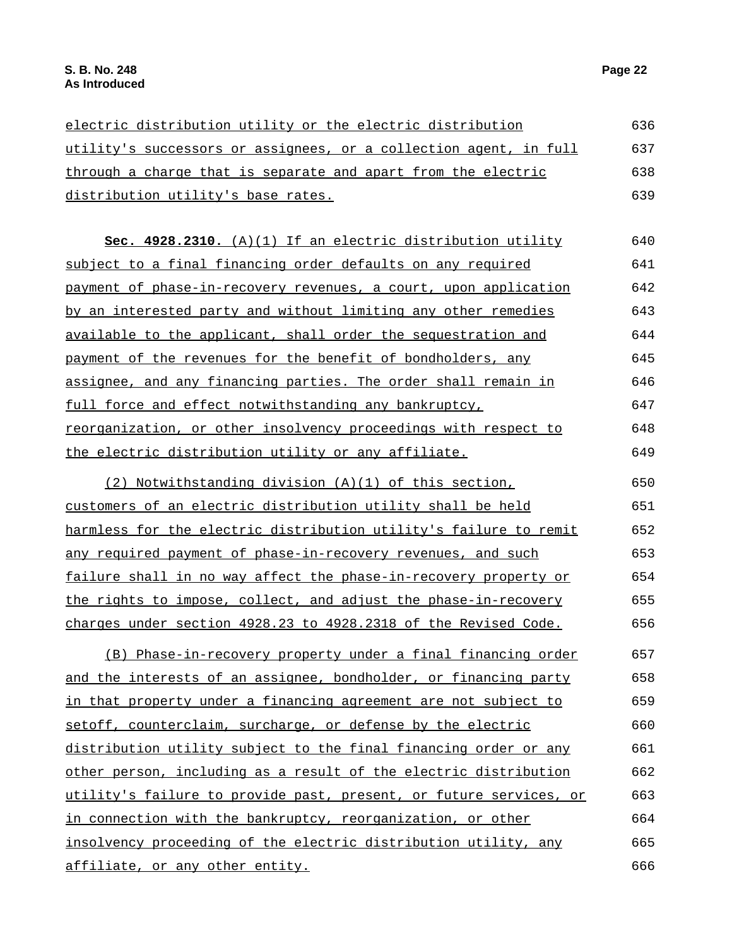| electric distribution utility or the electric distribution<br>utility's successors or assignees, or a collection agent, in full<br>through a charge that is separate and apart from the electric | 636 |
|--------------------------------------------------------------------------------------------------------------------------------------------------------------------------------------------------|-----|
|                                                                                                                                                                                                  | 637 |
|                                                                                                                                                                                                  | 638 |
| distribution utility's base rates.                                                                                                                                                               | 639 |

**Sec. 4928.2310.** (A)(1) If an electric distribution utility subject to a final financing order defaults on any required payment of phase-in-recovery revenues, a court, upon application by an interested party and without limiting any other remedies available to the applicant, shall order the sequestration and payment of the revenues for the benefit of bondholders, any assignee, and any financing parties. The order shall remain in full force and effect notwithstanding any bankruptcy, reorganization, or other insolvency proceedings with respect to the electric distribution utility or any affiliate. 640 641 642 643 644 645 646 647 648 649

(2) Notwithstanding division (A)(1) of this section, customers of an electric distribution utility shall be held harmless for the electric distribution utility's failure to remit any required payment of phase-in-recovery revenues, and such failure shall in no way affect the phase-in-recovery property or the rights to impose, collect, and adjust the phase-in-recovery charges under section 4928.23 to 4928.2318 of the Revised Code. 650 651 652 653 654 655 656

(B) Phase-in-recovery property under a final financing order and the interests of an assignee, bondholder, or financing party in that property under a financing agreement are not subject to setoff, counterclaim, surcharge, or defense by the electric distribution utility subject to the final financing order or any other person, including as a result of the electric distribution utility's failure to provide past, present, or future services, or in connection with the bankruptcy, reorganization, or other insolvency proceeding of the electric distribution utility, any affiliate, or any other entity. 657 658 659 660 661 662 663 664 665 666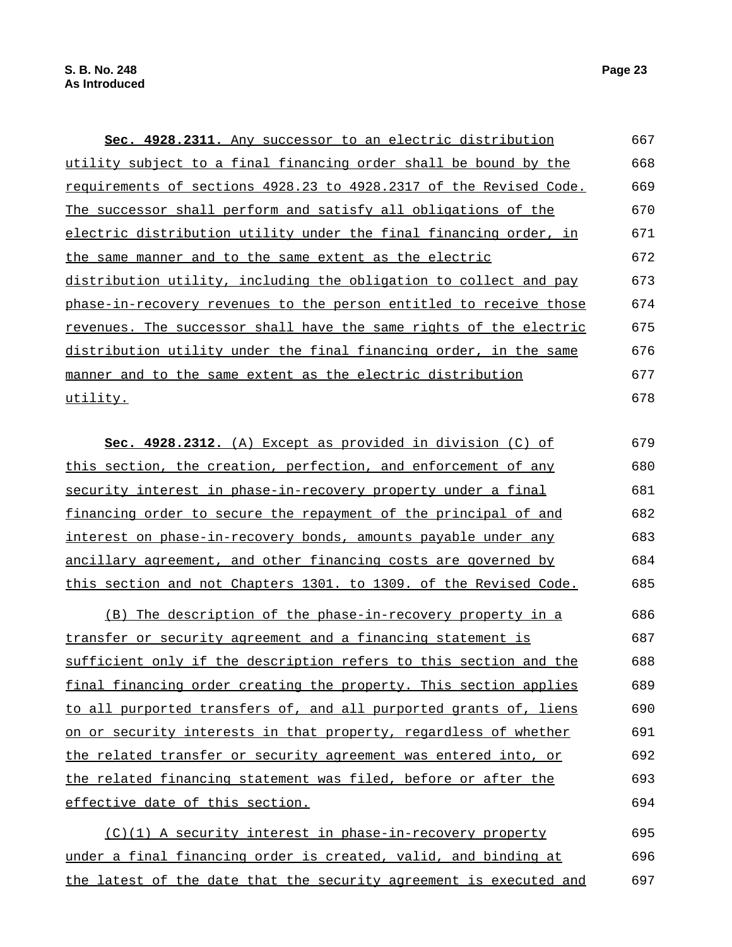| Sec. 4928.2311. Any successor to an electric distribution          | 667 |
|--------------------------------------------------------------------|-----|
| utility subject to a final financing order shall be bound by the   | 668 |
| requirements of sections 4928.23 to 4928.2317 of the Revised Code. | 669 |
| The successor shall perform and satisfy all obligations of the     | 670 |
| electric distribution utility under the final financing order, in  | 671 |
| the same manner and to the same extent as the electric             | 672 |
| distribution utility, including the obligation to collect and pay  | 673 |
| phase-in-recovery revenues to the person entitled to receive those | 674 |
| revenues. The successor shall have the same rights of the electric | 675 |
| distribution utility under the final financing order, in the same  | 676 |
| manner and to the same extent as the electric distribution         | 677 |
| utility.                                                           | 678 |

**Sec. 4928.2312.** (A) Except as provided in division (C) of this section, the creation, perfection, and enforcement of any security interest in phase-in-recovery property under a final financing order to secure the repayment of the principal of and interest on phase-in-recovery bonds, amounts payable under any ancillary agreement, and other financing costs are governed by this section and not Chapters 1301. to 1309. of the Revised Code. 679 680 681 682 683 684 685

(B) The description of the phase-in-recovery property in a transfer or security agreement and a financing statement is sufficient only if the description refers to this section and the final financing order creating the property. This section applies to all purported transfers of, and all purported grants of, liens on or security interests in that property, regardless of whether the related transfer or security agreement was entered into, or the related financing statement was filed, before or after the effective date of this section. 686 687 688 689 690 691 692 693 694

(C)(1) A security interest in phase-in-recovery property under a final financing order is created, valid, and binding at the latest of the date that the security agreement is executed and 695 696 697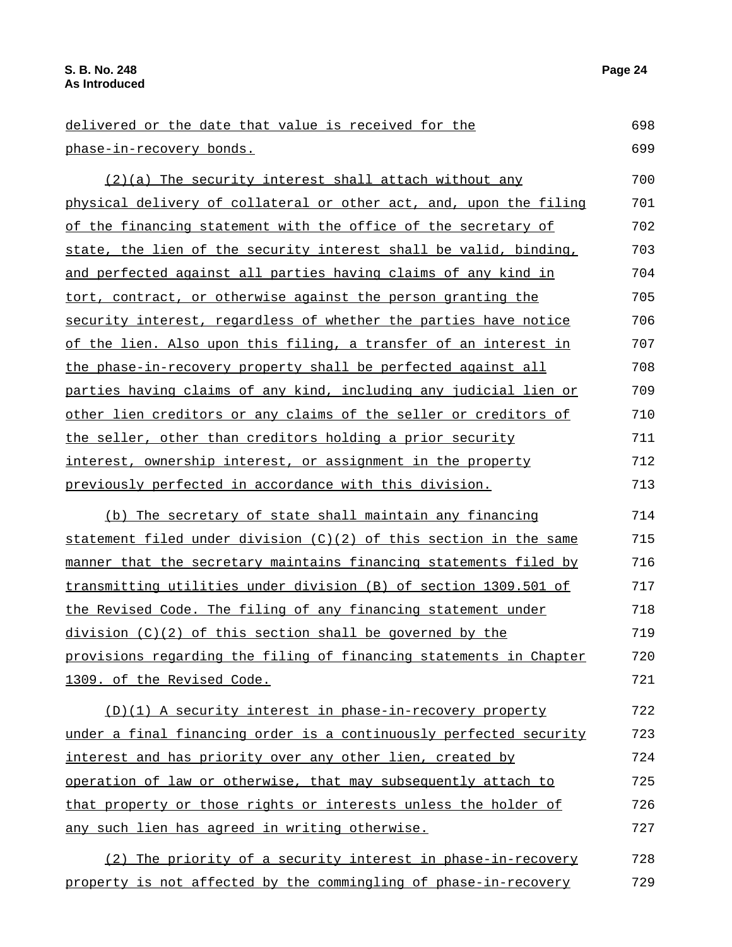| delivered or the date that value is received for the               | 698 |
|--------------------------------------------------------------------|-----|
| phase-in-recovery bonds.                                           | 699 |
| (2)(a) The security interest shall attach without any              | 700 |
| physical delivery of collateral or other act, and, upon the filing | 701 |
| of the financing statement with the office of the secretary of     | 702 |
| state, the lien of the security interest shall be valid, binding,  | 703 |
| and perfected against all parties having claims of any kind in     | 704 |
| tort, contract, or otherwise against the person granting the       | 705 |
| security interest, regardless of whether the parties have notice   | 706 |
| of the lien. Also upon this filing, a transfer of an interest in   | 707 |
| the phase-in-recovery property shall be perfected against all      | 708 |
| parties having claims of any kind, including any judicial lien or  | 709 |
| other lien creditors or any claims of the seller or creditors of   | 710 |
| the seller, other than creditors holding a prior security          | 711 |
| interest, ownership interest, or assignment in the property        | 712 |
| previously perfected in accordance with this division.             | 713 |
| (b) The secretary of state shall maintain any financing            | 714 |
| statement filed under division (C)(2) of this section in the same  | 715 |
| manner that the secretary maintains financing statements filed by  | 716 |
| transmitting utilities under division (B) of section 1309.501 of   | 717 |
| the Revised Code. The filing of any financing statement under      | 718 |
| $division (C)(2)$ of this section shall be governed by the         | 719 |
| provisions regarding the filing of financing statements in Chapter | 720 |
| 1309. of the Revised Code.                                         | 721 |
| (D)(1) A security interest in phase-in-recovery property           | 722 |
| under a final financing order is a continuously perfected security | 723 |
| interest and has priority over any other lien, created by          | 724 |
| operation of law or otherwise, that may subsequently attach to     | 725 |
| that property or those rights or interests unless the holder of    | 726 |
| any such lien has agreed in writing otherwise.                     | 727 |
|                                                                    |     |
| (2) The priority of a security interest in phase-in-recovery       | 728 |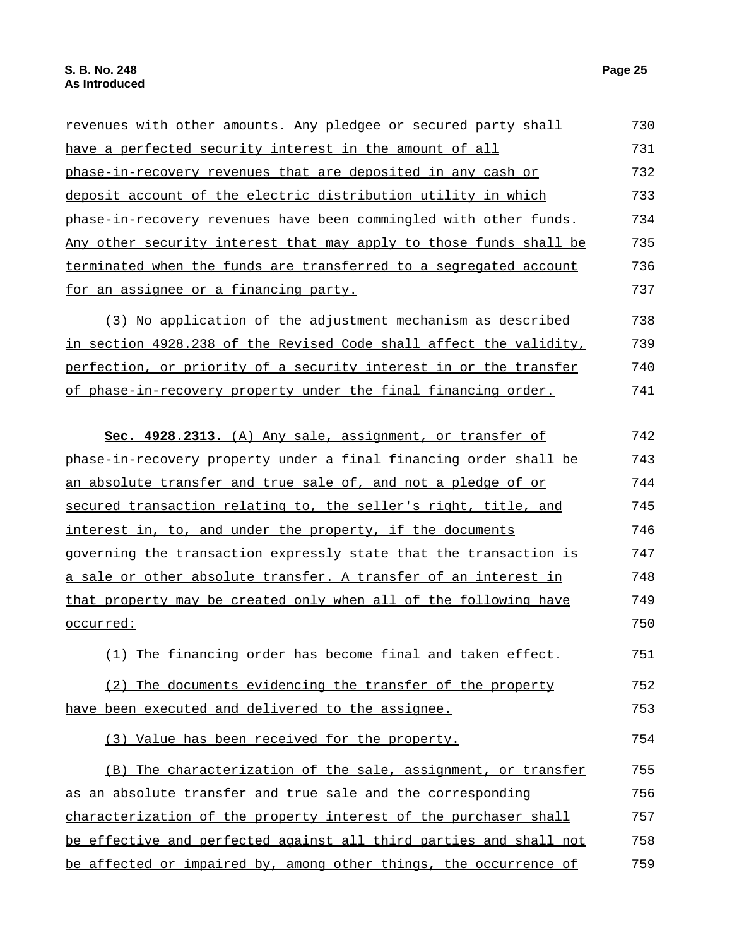| revenues with other amounts. Any pledgee or secured party shall    | 730 |
|--------------------------------------------------------------------|-----|
| have a perfected security interest in the amount of all            | 731 |
| phase-in-recovery revenues that are deposited in any cash or       | 732 |
| deposit account of the electric distribution utility in which      | 733 |
| phase-in-recovery revenues have been commingled with other funds.  | 734 |
| Any other security interest that may apply to those funds shall be | 735 |
| terminated when the funds are transferred to a segregated account  | 736 |
| for an assignee or a financing party.                              | 737 |
| (3) No application of the adjustment mechanism as described        | 738 |
| in section 4928.238 of the Revised Code shall affect the validity, | 739 |
| perfection, or priority of a security interest in or the transfer  | 740 |
| of phase-in-recovery property under the final financing order.     | 741 |
| Sec. 4928.2313. (A) Any sale, assignment, or transfer of           | 742 |
| phase-in-recovery property under a final financing order shall be  | 743 |
| an absolute transfer and true sale of, and not a pledge of or      | 744 |
| secured transaction relating to, the seller's right, title, and    | 745 |
| interest in, to, and under the property, if the documents          | 746 |
| governing the transaction expressly state that the transaction is  | 747 |
| a sale or other absolute transfer. A transfer of an interest in    | 748 |
| that property may be created only when all of the following have   | 749 |
| <u>occurred:</u>                                                   | 750 |
| The financing order has become final and taken effect.<br>(1)      | 751 |
| (2) The documents evidencing the transfer of the property          | 752 |
| have been executed and delivered to the assignee.                  | 753 |
| (3) Value has been received for the property.                      | 754 |
| (B) The characterization of the sale, assignment, or transfer      | 755 |
| as an absolute transfer and true sale and the corresponding        | 756 |
| characterization of the property interest of the purchaser shall   | 757 |
| be effective and perfected against all third parties and shall not | 758 |
| be affected or impaired by, among other things, the occurrence of  | 759 |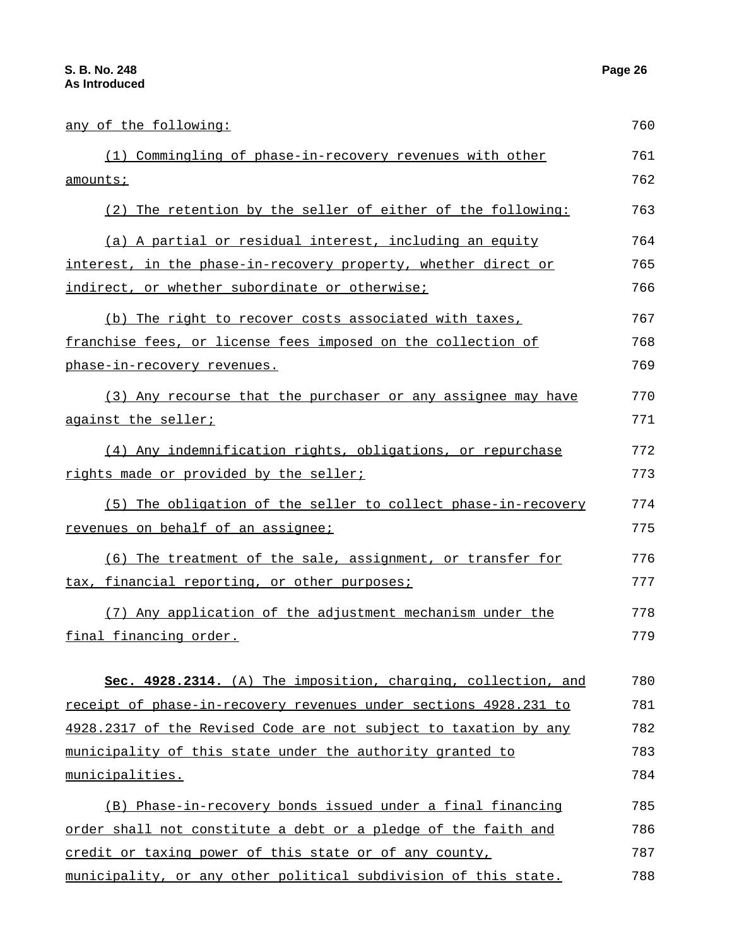| <u>any of the following:</u>                                     | 760 |
|------------------------------------------------------------------|-----|
| (1) Commingling of phase-in-recovery revenues with other         | 761 |
| amounts;                                                         | 762 |
| (2) The retention by the seller of either of the following:      | 763 |
| (a) A partial or residual interest, including an equity          | 764 |
| interest, in the phase-in-recovery property, whether direct or   | 765 |
| indirect, or whether subordinate or otherwise;                   | 766 |
| (b) The right to recover costs associated with taxes,            | 767 |
| franchise fees, or license fees imposed on the collection of     | 768 |
| <u>phase-in-recovery revenues.</u>                               | 769 |
| (3) Any recourse that the purchaser or any assignee may have     | 770 |
| against the seller;                                              | 771 |
| (4) Any indemnification rights, obligations, or repurchase       | 772 |
| rights made or provided by the seller;                           | 773 |
| (5) The obligation of the seller to collect phase-in-recovery    | 774 |
| revenues on behalf of an assignee;                               | 775 |
| (6) The treatment of the sale, assignment, or transfer for       | 776 |
| tax, financial reporting, or other purposes;                     | 777 |
| (7) Any application of the adjustment mechanism under the        | 778 |
| final financing order.                                           | 779 |
| Sec. 4928.2314. (A) The imposition, charging, collection, and    | 780 |
| receipt of phase-in-recovery revenues under sections 4928.231 to | 781 |
| 4928.2317 of the Revised Code are not subject to taxation by any | 782 |
| municipality of this state under the authority granted to        | 783 |
| municipalities.                                                  | 784 |
| (B) Phase-in-recovery bonds issued under a final financing       | 785 |
| order shall not constitute a debt or a pledge of the faith and   | 786 |
| credit or taxing power of this state or of any county,           | 787 |
| municipality, or any other political subdivision of this state.  | 788 |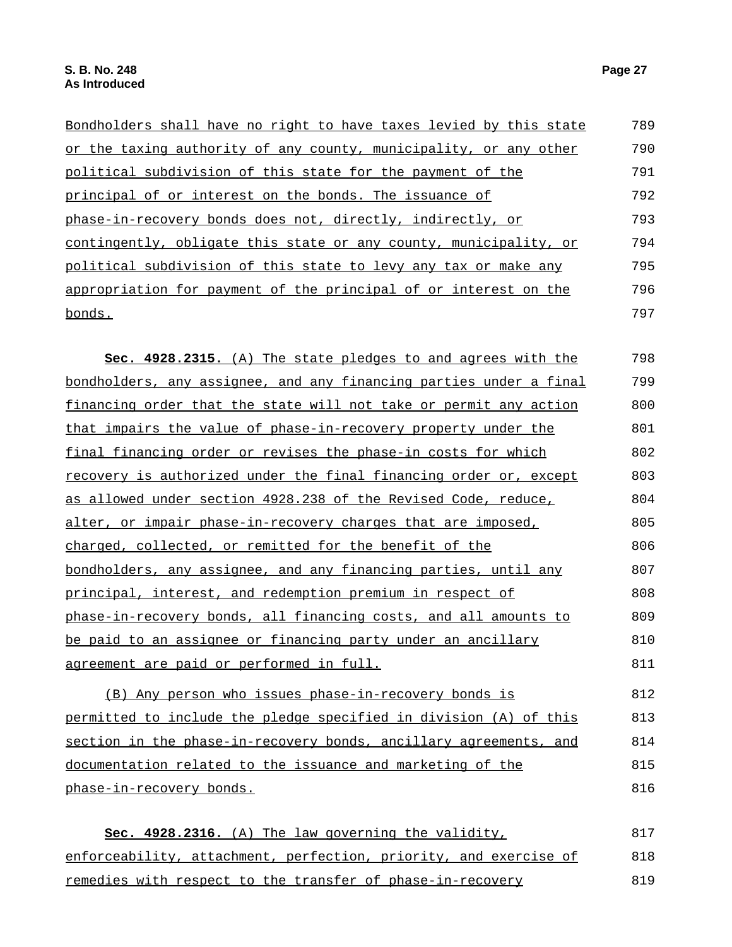| Bondholders shall have no right to have taxes levied by this state | 789 |
|--------------------------------------------------------------------|-----|
| or the taxing authority of any county, municipality, or any other  | 790 |
| political subdivision of this state for the payment of the         | 791 |
| principal of or interest on the bonds. The issuance of             | 792 |
| phase-in-recovery bonds does not, directly, indirectly, or         | 793 |
| contingently, obligate this state or any county, municipality, or  | 794 |
| political subdivision of this state to levy any tax or make any    | 795 |
| appropriation for payment of the principal of or interest on the   | 796 |
| bonds.                                                             | 797 |

**Sec. 4928.2315.** (A) The state pledges to and agrees with the bondholders, any assignee, and any financing parties under a final financing order that the state will not take or permit any action that impairs the value of phase-in-recovery property under the final financing order or revises the phase-in costs for which recovery is authorized under the final financing order or, except as allowed under section 4928.238 of the Revised Code, reduce, alter, or impair phase-in-recovery charges that are imposed, charged, collected, or remitted for the benefit of the bondholders, any assignee, and any financing parties, until any principal, interest, and redemption premium in respect of phase-in-recovery bonds, all financing costs, and all amounts to be paid to an assignee or financing party under an ancillary agreement are paid or performed in full. 798 799 800 801 802 803 804 805 806 807 808 809 810 811

(B) Any person who issues phase-in-recovery bonds is permitted to include the pledge specified in division (A) of this section in the phase-in-recovery bonds, ancillary agreements, and documentation related to the issuance and marketing of the phase-in-recovery bonds. 812 813 814 815 816

**Sec. 4928.2316.** (A) The law governing the validity, enforceability, attachment, perfection, priority, and exercise of remedies with respect to the transfer of phase-in-recovery 817 818 819